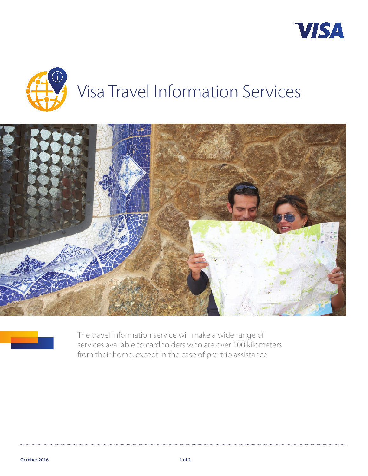







The travel information service will make a wide range of services available to cardholders who are over 100 kilometers from their home, except in the case of pre-trip assistance.